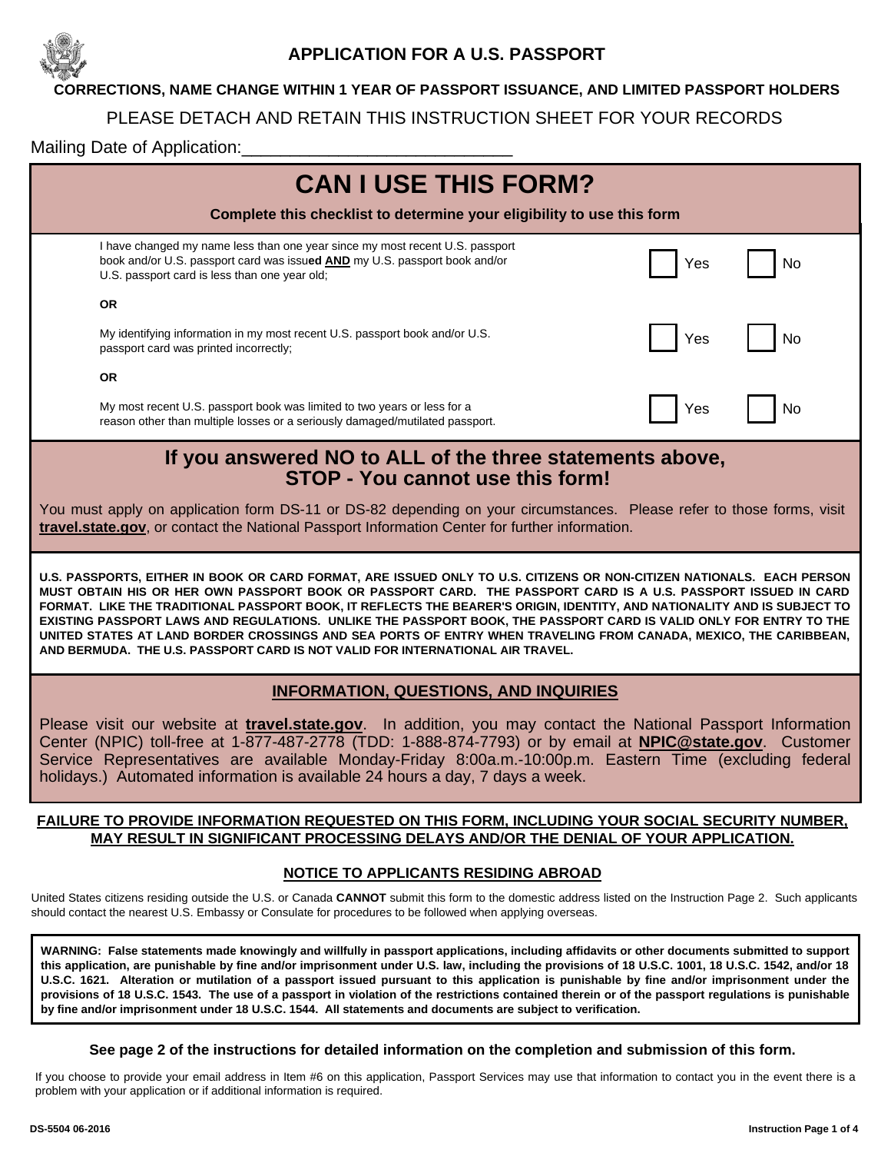# **APPLICATION FOR A U.S. PASSPORT**

**CORRECTIONS, NAME CHANGE WITHIN 1 YEAR OF PASSPORT ISSUANCE, AND LIMITED PASSPORT HOLDERS**

PLEASE DETACH AND RETAIN THIS INSTRUCTION SHEET FOR YOUR RECORDS

# Mailing Date of Application:

| <b>CAN I USE THIS FORM?</b><br>Complete this checklist to determine your eligibility to use this form                                                                                                                                                                                                                                                                                                                                                                                                                                                                                                                                                                                           |     |    |  |  |  |  |  |  |
|-------------------------------------------------------------------------------------------------------------------------------------------------------------------------------------------------------------------------------------------------------------------------------------------------------------------------------------------------------------------------------------------------------------------------------------------------------------------------------------------------------------------------------------------------------------------------------------------------------------------------------------------------------------------------------------------------|-----|----|--|--|--|--|--|--|
| I have changed my name less than one year since my most recent U.S. passport<br>book and/or U.S. passport card was issued AND my U.S. passport book and/or<br>U.S. passport card is less than one year old;                                                                                                                                                                                                                                                                                                                                                                                                                                                                                     | Yes | No |  |  |  |  |  |  |
| <b>OR</b>                                                                                                                                                                                                                                                                                                                                                                                                                                                                                                                                                                                                                                                                                       |     |    |  |  |  |  |  |  |
| My identifying information in my most recent U.S. passport book and/or U.S.<br>passport card was printed incorrectly;                                                                                                                                                                                                                                                                                                                                                                                                                                                                                                                                                                           | Yes | No |  |  |  |  |  |  |
| <b>OR</b>                                                                                                                                                                                                                                                                                                                                                                                                                                                                                                                                                                                                                                                                                       |     |    |  |  |  |  |  |  |
| My most recent U.S. passport book was limited to two years or less for a<br>reason other than multiple losses or a seriously damaged/mutilated passport.                                                                                                                                                                                                                                                                                                                                                                                                                                                                                                                                        | Yes | No |  |  |  |  |  |  |
| If you answered NO to ALL of the three statements above,<br><b>STOP - You cannot use this form!</b>                                                                                                                                                                                                                                                                                                                                                                                                                                                                                                                                                                                             |     |    |  |  |  |  |  |  |
| You must apply on application form DS-11 or DS-82 depending on your circumstances. Please refer to those forms, visit<br>travel.state.gov, or contact the National Passport Information Center for further information.                                                                                                                                                                                                                                                                                                                                                                                                                                                                         |     |    |  |  |  |  |  |  |
| U.S. PASSPORTS, EITHER IN BOOK OR CARD FORMAT, ARE ISSUED ONLY TO U.S. CITIZENS OR NON-CITIZEN NATIONALS. EACH PERSON<br>MUST OBTAIN HIS OR HER OWN PASSPORT BOOK OR PASSPORT CARD. THE PASSPORT CARD IS A U.S. PASSPORT ISSUED IN CARD<br>FORMAT. LIKE THE TRADITIONAL PASSPORT BOOK, IT REFLECTS THE BEARER'S ORIGIN, IDENTITY, AND NATIONALITY AND IS SUBJECT TO<br>EXISTING PASSPORT LAWS AND REGULATIONS. UNLIKE THE PASSPORT BOOK, THE PASSPORT CARD IS VALID ONLY FOR ENTRY TO THE<br>UNITED STATES AT LAND BORDER CROSSINGS AND SEA PORTS OF ENTRY WHEN TRAVELING FROM CANADA, MEXICO, THE CARIBBEAN,<br>AND BERMUDA. THE U.S. PASSPORT CARD IS NOT VALID FOR INTERNATIONAL AIR TRAVEL. |     |    |  |  |  |  |  |  |
| <b>INFORMATION, QUESTIONS, AND INQUIRIES</b>                                                                                                                                                                                                                                                                                                                                                                                                                                                                                                                                                                                                                                                    |     |    |  |  |  |  |  |  |

Please visit our website at **travel.state.gov**. In addition, you may contact the National Passport Information Center (NPIC) toll-free at 1-877-487-2778 (TDD: 1-888-874-7793) or by email at **NPIC@state.gov**. Customer Service Representatives are available Monday-Friday 8:00a.m.-10:00p.m. Eastern Time (excluding federal holidays.) Automated information is available 24 hours a day, 7 days a week.

### **FAILURE TO PROVIDE INFORMATION REQUESTED ON THIS FORM, INCLUDING YOUR SOCIAL SECURITY NUMBER, MAY RESULT IN SIGNIFICANT PROCESSING DELAYS AND/OR THE DENIAL OF YOUR APPLICATION.**

# **NOTICE TO APPLICANTS RESIDING ABROAD**

United States citizens residing outside the U.S. or Canada **CANNOT** submit this form to the domestic address listed on the Instruction Page 2. Such applicants should contact the nearest U.S. Embassy or Consulate for procedures to be followed when applying overseas.

**WARNING: False statements made knowingly and willfully in passport applications, including affidavits or other documents submitted to support this application, are punishable by fine and/or imprisonment under U.S. law, including the provisions of 18 U.S.C. 1001, 18 U.S.C. 1542, and/or 18 U.S.C. 1621. Alteration or mutilation of a passport issued pursuant to this application is punishable by fine and/or imprisonment under the provisions of 18 U.S.C. 1543. The use of a passport in violation of the restrictions contained therein or of the passport regulations is punishable by fine and/or imprisonment under 18 U.S.C. 1544. All statements and documents are subject to verification.** 

### **See page 2 of the instructions for detailed information on the completion and submission of this form.**

If you choose to provide your email address in Item #6 on this application, Passport Services may use that information to contact you in the event there is a problem with your application or if additional information is required.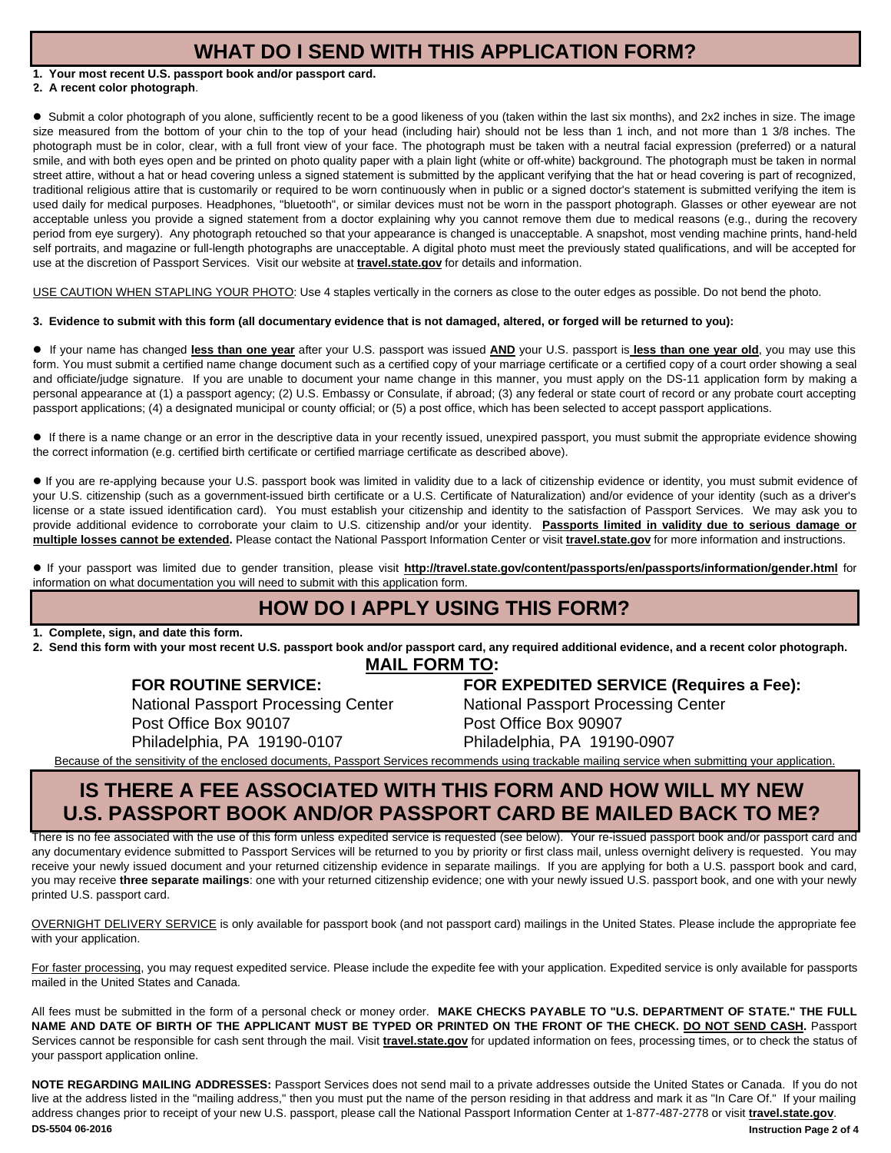# **WHAT DO I SEND WITH THIS APPLICATION FORM?**

#### **1. Your most recent U.S. passport book and/or passport card.**

#### **2. A recent color photograph**.

 Submit a color photograph of you alone, sufficiently recent to be a good likeness of you (taken within the last six months), and 2x2 inches in size. The image size measured from the bottom of your chin to the top of your head (including hair) should not be less than 1 inch, and not more than 1 3/8 inches. The photograph must be in color, clear, with a full front view of your face. The photograph must be taken with a neutral facial expression (preferred) or a natural smile, and with both eyes open and be printed on photo quality paper with a plain light (white or off-white) background. The photograph must be taken in normal street attire, without a hat or head covering unless a signed statement is submitted by the applicant verifying that the hat or head covering is part of recognized, traditional religious attire that is customarily or required to be worn continuously when in public or a signed doctor's statement is submitted verifying the item is used daily for medical purposes. Headphones, "bluetooth", or similar devices must not be worn in the passport photograph. Glasses or other eyewear are not acceptable unless you provide a signed statement from a doctor explaining why you cannot remove them due to medical reasons (e.g., during the recovery period from eye surgery). Any photograph retouched so that your appearance is changed is unacceptable. A snapshot, most vending machine prints, hand-held self portraits, and magazine or full-length photographs are unacceptable. A digital photo must meet the previously stated qualifications, and will be accepted for use at the discretion of Passport Services. Visit our website at **travel.state.gov** for details and information.

USE CAUTION WHEN STAPLING YOUR PHOTO: Use 4 staples vertically in the corners as close to the outer edges as possible. Do not bend the photo.

#### **3. Evidence to submit with this form (all documentary evidence that is not damaged, altered, or forged will be returned to you):**

 If your name has changed **less than one year** after your U.S. passport was issued **AND** your U.S. passport is **less than one year old**, you may use this form. You must submit a certified name change document such as a certified copy of your marriage certificate or a certified copy of a court order showing a seal and officiate/judge signature. If you are unable to document your name change in this manner, you must apply on the DS-11 application form by making a personal appearance at (1) a passport agency; (2) U.S. Embassy or Consulate, if abroad; (3) any federal or state court of record or any probate court accepting passport applications; (4) a designated municipal or county official; or (5) a post office, which has been selected to accept passport applications.

 If there is a name change or an error in the descriptive data in your recently issued, unexpired passport, you must submit the appropriate evidence showing the correct information (e.g. certified birth certificate or certified marriage certificate as described above).

 If you are re-applying because your U.S. passport book was limited in validity due to a lack of citizenship evidence or identity, you must submit evidence of your U.S. citizenship (such as a government-issued birth certificate or a U.S. Certificate of Naturalization) and/or evidence of your identity (such as a driver's license or a state issued identification card). You must establish your citizenship and identity to the satisfaction of Passport Services. We may ask you to provide additional evidence to corroborate your claim to U.S. citizenship and/or your identity. **Passports limited in validity due to serious damage or multiple losses cannot be extended.** Please contact the National Passport Information Center or visit **travel.state.gov** for more information and instructions.

 If your passport was limited due to gender transition, please visit **http://travel.state.gov/content/passports/en/passports/information/gender.html** for information on what documentation you will need to submit with this application form.

# **HOW DO I APPLY USING THIS FORM?**

#### **1. Complete, sign, and date this form.**

**MAIL FORM TO: 2. Send this form with your most recent U.S. passport book and/or passport card, any required additional evidence, and a recent color photograph.**

**FOR ROUTINE SERVICE:**

National Passport Processing Center Post Office Box 90107 Philadelphia, PA 19190-0107

**FOR EXPEDITED SERVICE (Requires a Fee):**

National Passport Processing Center Post Office Box 90907 Philadelphia, PA 19190-0907

Because of the sensitivity of the enclosed documents, Passport Services recommends using trackable mailing service when submitting your application.

# **IS THERE A FEE ASSOCIATED WITH THIS FORM AND HOW WILL MY NEW U.S. PASSPORT BOOK AND/OR PASSPORT CARD BE MAILED BACK TO ME?**

There is no fee associated with the use of this form unless expedited service is requested (see below). Your re-issued passport book and/or passport card and any documentary evidence submitted to Passport Services will be returned to you by priority or first class mail, unless overnight delivery is requested. You may receive your newly issued document and your returned citizenship evidence in separate mailings. If you are applying for both a U.S. passport book and card, you may receive **three separate mailings**: one with your returned citizenship evidence; one with your newly issued U.S. passport book, and one with your newly printed U.S. passport card.

OVERNIGHT DELIVERY SERVICE is only available for passport book (and not passport card) mailings in the United States. Please include the appropriate fee with your application.

For faster processing, you may request expedited service. Please include the expedite fee with your application. Expedited service is only available for passports mailed in the United States and Canada.

All fees must be submitted in the form of a personal check or money order. **MAKE CHECKS PAYABLE TO "U.S. DEPARTMENT OF STATE." THE FULL NAME AND DATE OF BIRTH OF THE APPLICANT MUST BE TYPED OR PRINTED ON THE FRONT OF THE CHECK. DO NOT SEND CASH.** Passport Services cannot be responsible for cash sent through the mail. Visit *travel.state.gov* for updated information on fees, processing times, or to check the status of your passport application online.

**DS-5504 06-2016 Instruction Page 2 of 4 NOTE REGARDING MAILING ADDRESSES:** Passport Services does not send mail to a private addresses outside the United States or Canada. If you do not live at the address listed in the "mailing address," then you must put the name of the person residing in that address and mark it as "In Care Of." If your mailing address changes prior to receipt of your new U.S. passport, please call the National Passport Information Center at 1-877-487-2778 or visit **travel.state.gov**.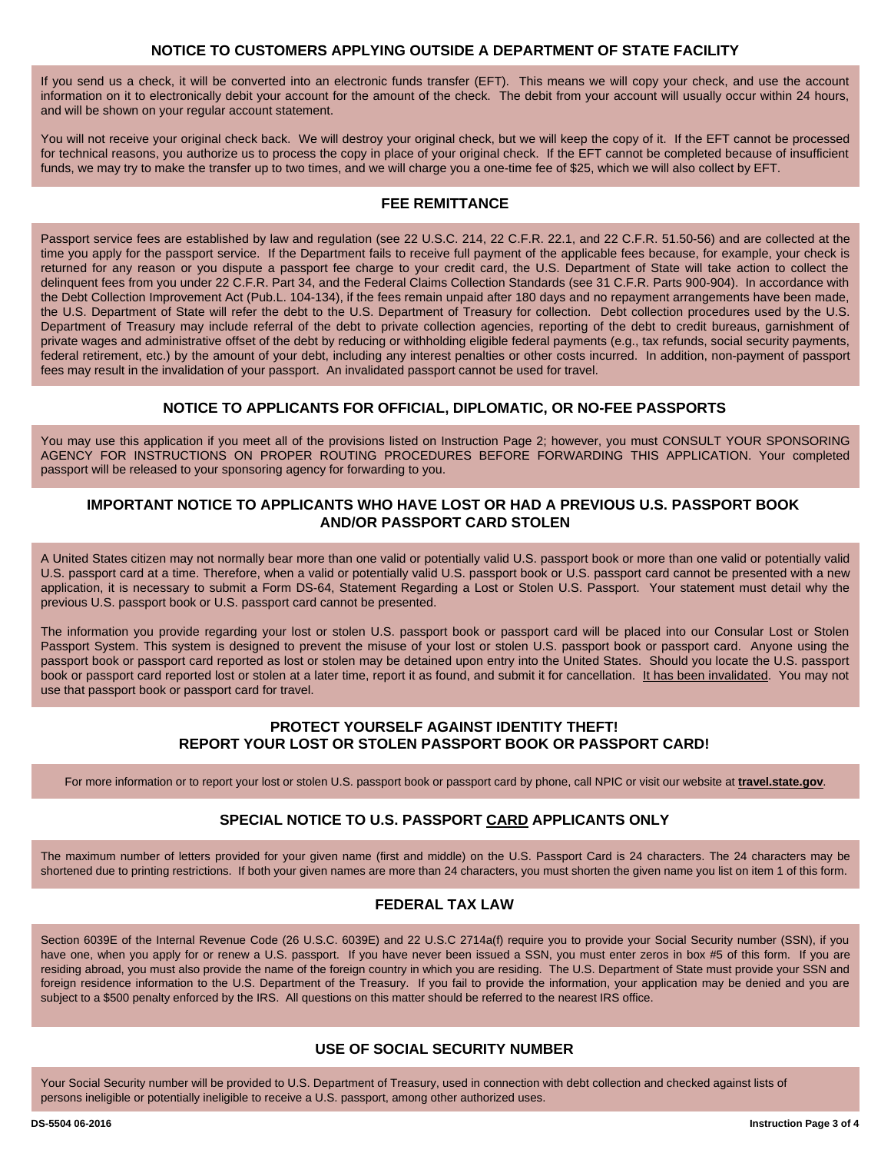### **NOTICE TO CUSTOMERS APPLYING OUTSIDE A DEPARTMENT OF STATE FACILITY**

If you send us a check, it will be converted into an electronic funds transfer (EFT). This means we will copy your check, and use the account information on it to electronically debit your account for the amount of the check. The debit from your account will usually occur within 24 hours, and will be shown on your regular account statement.

You will not receive your original check back. We will destroy your original check, but we will keep the copy of it. If the EFT cannot be processed for technical reasons, you authorize us to process the copy in place of your original check. If the EFT cannot be completed because of insufficient funds, we may try to make the transfer up to two times, and we will charge you a one-time fee of \$25, which we will also collect by EFT.

#### **FEE REMITTANCE**

Passport service fees are established by law and regulation (see 22 U.S.C. 214, 22 C.F.R. 22.1, and 22 C.F.R. 51.50-56) and are collected at the time you apply for the passport service. If the Department fails to receive full payment of the applicable fees because, for example, your check is returned for any reason or you dispute a passport fee charge to your credit card, the U.S. Department of State will take action to collect the delinquent fees from you under 22 C.F.R. Part 34, and the Federal Claims Collection Standards (see 31 C.F.R. Parts 900-904). In accordance with the Debt Collection Improvement Act (Pub.L. 104-134), if the fees remain unpaid after 180 days and no repayment arrangements have been made, the U.S. Department of State will refer the debt to the U.S. Department of Treasury for collection. Debt collection procedures used by the U.S. Department of Treasury may include referral of the debt to private collection agencies, reporting of the debt to credit bureaus, garnishment of private wages and administrative offset of the debt by reducing or withholding eligible federal payments (e.g., tax refunds, social security payments, federal retirement, etc.) by the amount of your debt, including any interest penalties or other costs incurred. In addition, non-payment of passport fees may result in the invalidation of your passport. An invalidated passport cannot be used for travel.

### **NOTICE TO APPLICANTS FOR OFFICIAL, DIPLOMATIC, OR NO-FEE PASSPORTS**

You may use this application if you meet all of the provisions listed on Instruction Page 2; however, you must CONSULT YOUR SPONSORING AGENCY FOR INSTRUCTIONS ON PROPER ROUTING PROCEDURES BEFORE FORWARDING THIS APPLICATION. Your completed passport will be released to your sponsoring agency for forwarding to you.

# **IMPORTANT NOTICE TO APPLICANTS WHO HAVE LOST OR HAD A PREVIOUS U.S. PASSPORT BOOK AND/OR PASSPORT CARD STOLEN**

A United States citizen may not normally bear more than one valid or potentially valid U.S. passport book or more than one valid or potentially valid U.S. passport card at a time. Therefore, when a valid or potentially valid U.S. passport book or U.S. passport card cannot be presented with a new application, it is necessary to submit a Form DS-64, Statement Regarding a Lost or Stolen U.S. Passport. Your statement must detail why the previous U.S. passport book or U.S. passport card cannot be presented.

The information you provide regarding your lost or stolen U.S. passport book or passport card will be placed into our Consular Lost or Stolen Passport System. This system is designed to prevent the misuse of your lost or stolen U.S. passport book or passport card. Anyone using the passport book or passport card reported as lost or stolen may be detained upon entry into the United States. Should you locate the U.S. passport book or passport card reported lost or stolen at a later time, report it as found, and submit it for cancellation. It has been invalidated. You may not use that passport book or passport card for travel.

### **PROTECT YOURSELF AGAINST IDENTITY THEFT! REPORT YOUR LOST OR STOLEN PASSPORT BOOK OR PASSPORT CARD!**

For more information or to report your lost or stolen U.S. passport book or passport card by phone, call NPIC or visit our website at **travel.state.gov**.

# **SPECIAL NOTICE TO U.S. PASSPORT CARD APPLICANTS ONLY**

The maximum number of letters provided for your given name (first and middle) on the U.S. Passport Card is 24 characters. The 24 characters may be shortened due to printing restrictions. If both your given names are more than 24 characters, you must shorten the given name you list on item 1 of this form.

# **FEDERAL TAX LAW**

Section 6039E of the Internal Revenue Code (26 U.S.C. 6039E) and 22 U.S.C 2714a(f) require you to provide your Social Security number (SSN), if you have one, when you apply for or renew a U.S. passport. If you have never been issued a SSN, you must enter zeros in box #5 of this form. If you are residing abroad, you must also provide the name of the foreign country in which you are residing. The U.S. Department of State must provide your SSN and foreign residence information to the U.S. Department of the Treasury. If you fail to provide the information, your application may be denied and you are subject to a \$500 penalty enforced by the IRS. All questions on this matter should be referred to the nearest IRS office.

### **USE OF SOCIAL SECURITY NUMBER**

Your Social Security number will be provided to U.S. Department of Treasury, used in connection with debt collection and checked against lists of persons ineligible or potentially ineligible to receive a U.S. passport, among other authorized uses.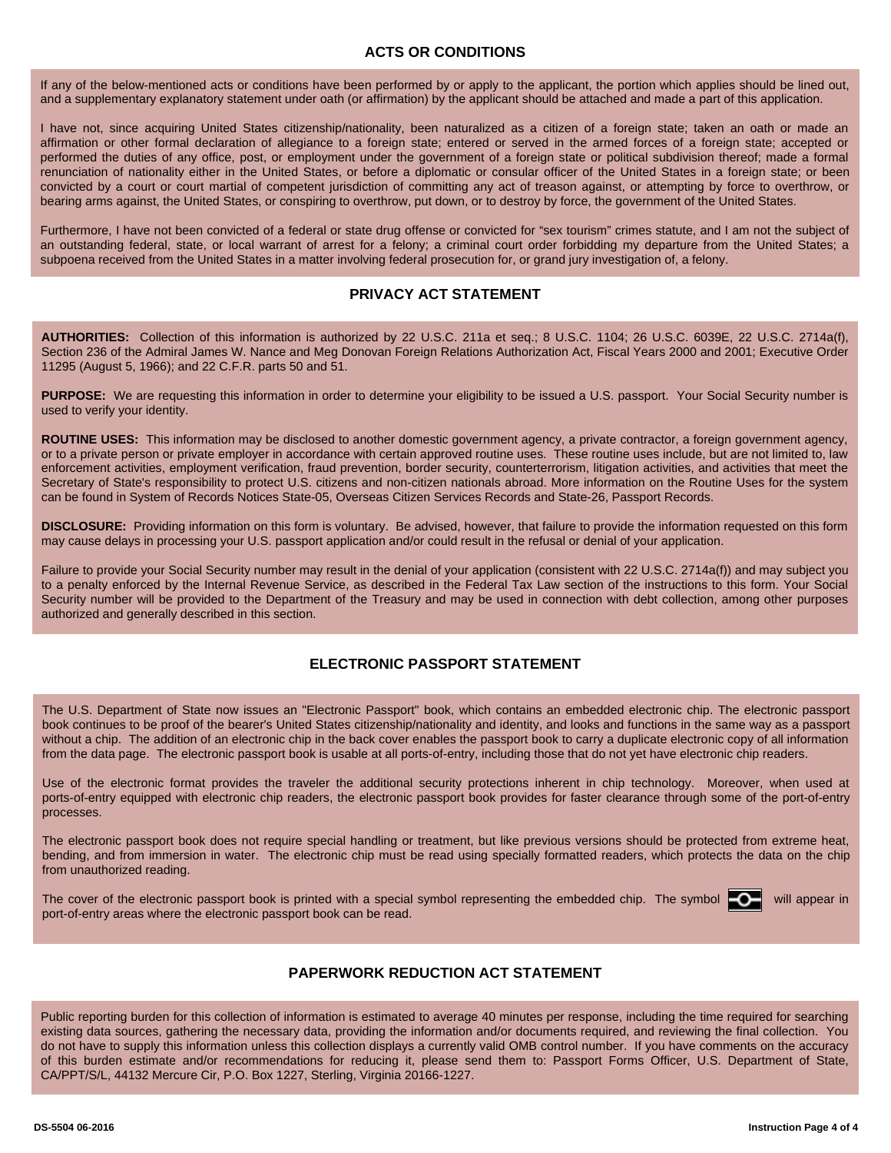### **ACTS OR CONDITIONS**

If any of the below-mentioned acts or conditions have been performed by or apply to the applicant, the portion which applies should be lined out, and a supplementary explanatory statement under oath (or affirmation) by the applicant should be attached and made a part of this application.

I have not, since acquiring United States citizenship/nationality, been naturalized as a citizen of a foreign state; taken an oath or made an affirmation or other formal declaration of allegiance to a foreign state; entered or served in the armed forces of a foreign state; accepted or performed the duties of any office, post, or employment under the government of a foreign state or political subdivision thereof; made a formal renunciation of nationality either in the United States, or before a diplomatic or consular officer of the United States in a foreign state; or been convicted by a court or court martial of competent jurisdiction of committing any act of treason against, or attempting by force to overthrow, or bearing arms against, the United States, or conspiring to overthrow, put down, or to destroy by force, the government of the United States.

Furthermore, I have not been convicted of a federal or state drug offense or convicted for "sex tourism" crimes statute, and I am not the subject of an outstanding federal, state, or local warrant of arrest for a felony; a criminal court order forbidding my departure from the United States; a subpoena received from the United States in a matter involving federal prosecution for, or grand jury investigation of, a felony.

#### **PRIVACY ACT STATEMENT**

**AUTHORITIES:** Collection of this information is authorized by 22 U.S.C. 211a et seq.; 8 U.S.C. 1104; 26 U.S.C. 6039E, 22 U.S.C. 2714a(f), Section 236 of the Admiral James W. Nance and Meg Donovan Foreign Relations Authorization Act, Fiscal Years 2000 and 2001; Executive Order 11295 (August 5, 1966); and 22 C.F.R. parts 50 and 51.

**PURPOSE:** We are requesting this information in order to determine your eligibility to be issued a U.S. passport. Your Social Security number is used to verify your identity.

**ROUTINE USES:** This information may be disclosed to another domestic government agency, a private contractor, a foreign government agency, or to a private person or private employer in accordance with certain approved routine uses. These routine uses include, but are not limited to, law enforcement activities, employment verification, fraud prevention, border security, counterterrorism, litigation activities, and activities that meet the Secretary of State's responsibility to protect U.S. citizens and non-citizen nationals abroad. More information on the Routine Uses for the system can be found in System of Records Notices State-05, Overseas Citizen Services Records and State-26, Passport Records.

**DISCLOSURE:** Providing information on this form is voluntary. Be advised, however, that failure to provide the information requested on this form may cause delays in processing your U.S. passport application and/or could result in the refusal or denial of your application.

Failure to provide your Social Security number may result in the denial of your application (consistent with 22 U.S.C. 2714a(f)) and may subject you to a penalty enforced by the Internal Revenue Service, as described in the Federal Tax Law section of the instructions to this form. Your Social Security number will be provided to the Department of the Treasury and may be used in connection with debt collection, among other purposes authorized and generally described in this section.

# **ELECTRONIC PASSPORT STATEMENT**

The U.S. Department of State now issues an "Electronic Passport" book, which contains an embedded electronic chip. The electronic passport book continues to be proof of the bearer's United States citizenship/nationality and identity, and looks and functions in the same way as a passport without a chip. The addition of an electronic chip in the back cover enables the passport book to carry a duplicate electronic copy of all information from the data page. The electronic passport book is usable at all ports-of-entry, including those that do not yet have electronic chip readers.

Use of the electronic format provides the traveler the additional security protections inherent in chip technology. Moreover, when used at ports-of-entry equipped with electronic chip readers, the electronic passport book provides for faster clearance through some of the port-of-entry processes.

The electronic passport book does not require special handling or treatment, but like previous versions should be protected from extreme heat, bending, and from immersion in water. The electronic chip must be read using specially formatted readers, which protects the data on the chip from unauthorized reading.

The cover of the electronic passport book is printed with a special symbol representing the embedded chip. The symbol  $\bullet$  will appear in port-of-entry areas where the electronic passport book can be read.

# **PAPERWORK REDUCTION ACT STATEMENT**

Public reporting burden for this collection of information is estimated to average 40 minutes per response, including the time required for searching existing data sources, gathering the necessary data, providing the information and/or documents required, and reviewing the final collection. You do not have to supply this information unless this collection displays a currently valid OMB control number. If you have comments on the accuracy of this burden estimate and/or recommendations for reducing it, please send them to: Passport Forms Officer, U.S. Department of State, CA/PPT/S/L, 44132 Mercure Cir, P.O. Box 1227, Sterling, Virginia 20166-1227.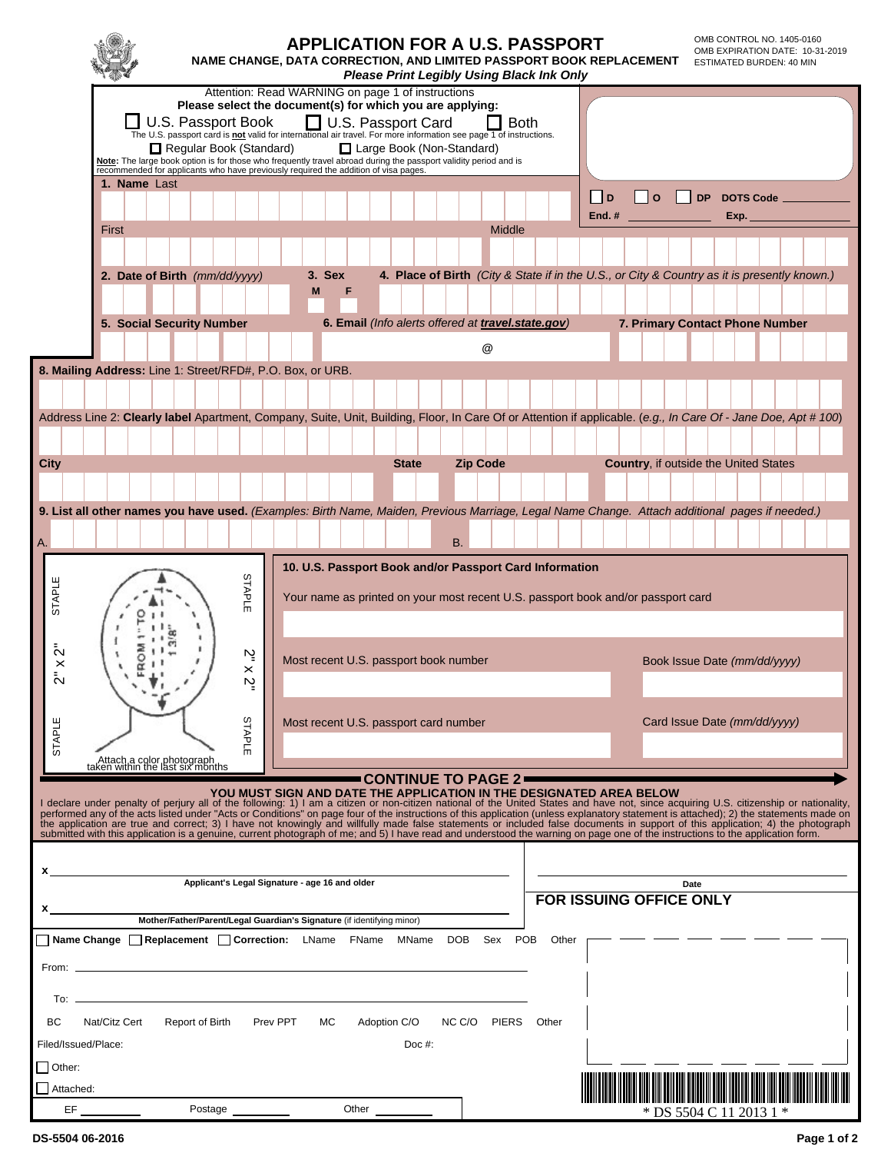| <b>APPLICATION FOR A U.S. PASSPORT</b><br>NAME CHANGE, DATA CORRECTION, AND LIMITED PASSPORT BOOK REPLACEMENT<br><b>Please Print Legibly Using Black Ink Only</b>                                                                                                                                                                                                                                                                                                                                                                                                                                                                                                                                                                                                               | OMB CONTROL NO. 1405-0160<br>OMB EXPIRATION DATE: 10-31-2019<br>ESTIMATED BURDEN: 40 MIN     |  |  |  |  |  |  |  |
|---------------------------------------------------------------------------------------------------------------------------------------------------------------------------------------------------------------------------------------------------------------------------------------------------------------------------------------------------------------------------------------------------------------------------------------------------------------------------------------------------------------------------------------------------------------------------------------------------------------------------------------------------------------------------------------------------------------------------------------------------------------------------------|----------------------------------------------------------------------------------------------|--|--|--|--|--|--|--|
| Attention: Read WARNING on page 1 of instructions<br>Please select the document(s) for which you are applying:<br>U.S. Passport Book<br>U.S. Passport Card<br>The U.S. passport card is not valid for international air travel. For more information see page 1 of instructions.<br>$\Box$ Regular Book (Standard)<br>Large Book (Non-Standard)<br>Note: The large book option is for those who frequently travel abroad during the passport validity period and is<br>recommended for applicants who have previously required the addition of visa pages.                                                                                                                                                                                                                      | <b>Both</b>                                                                                  |  |  |  |  |  |  |  |
| <b>1. Name Last</b>                                                                                                                                                                                                                                                                                                                                                                                                                                                                                                                                                                                                                                                                                                                                                             | <b>DP</b><br>DOTS Code __<br>I D<br>l O<br>End. $#$<br>Exp.                                  |  |  |  |  |  |  |  |
| Middle<br>First                                                                                                                                                                                                                                                                                                                                                                                                                                                                                                                                                                                                                                                                                                                                                                 |                                                                                              |  |  |  |  |  |  |  |
| 2. Date of Birth (mm/dd/yyyy)<br>3. Sex<br>M<br>F                                                                                                                                                                                                                                                                                                                                                                                                                                                                                                                                                                                                                                                                                                                               | 4. Place of Birth (City & State if in the U.S., or City & Country as it is presently known.) |  |  |  |  |  |  |  |
| 5. Social Security Number<br>6. Email (Info alerts offered at travel.state.gov)                                                                                                                                                                                                                                                                                                                                                                                                                                                                                                                                                                                                                                                                                                 | 7. Primary Contact Phone Number                                                              |  |  |  |  |  |  |  |
| @                                                                                                                                                                                                                                                                                                                                                                                                                                                                                                                                                                                                                                                                                                                                                                               |                                                                                              |  |  |  |  |  |  |  |
| 8. Mailing Address: Line 1: Street/RFD#, P.O. Box, or URB.                                                                                                                                                                                                                                                                                                                                                                                                                                                                                                                                                                                                                                                                                                                      |                                                                                              |  |  |  |  |  |  |  |
| Address Line 2: Clearly label Apartment, Company, Suite, Unit, Building, Floor, In Care Of or Attention if applicable. (e.g., In Care Of - Jane Doe, Apt # 100)                                                                                                                                                                                                                                                                                                                                                                                                                                                                                                                                                                                                                 |                                                                                              |  |  |  |  |  |  |  |
| <b>Zip Code</b><br>City<br><b>State</b>                                                                                                                                                                                                                                                                                                                                                                                                                                                                                                                                                                                                                                                                                                                                         | <b>Country, if outside the United States</b>                                                 |  |  |  |  |  |  |  |
|                                                                                                                                                                                                                                                                                                                                                                                                                                                                                                                                                                                                                                                                                                                                                                                 |                                                                                              |  |  |  |  |  |  |  |
| 9. List all other names you have used. (Examples: Birth Name, Maiden, Previous Marriage, Legal Name Change. Attach additional pages if needed.)                                                                                                                                                                                                                                                                                                                                                                                                                                                                                                                                                                                                                                 |                                                                                              |  |  |  |  |  |  |  |
| <b>B.</b>                                                                                                                                                                                                                                                                                                                                                                                                                                                                                                                                                                                                                                                                                                                                                                       |                                                                                              |  |  |  |  |  |  |  |
| 10. U.S. Passport Book and/or Passport Card Information<br><b>STAPLE</b><br><b>STAPLE</b><br>Your name as printed on your most recent U.S. passport book and/or passport card<br>Ń<br>ڀ.<br>Most recent U.S. passport book number<br>$\times$                                                                                                                                                                                                                                                                                                                                                                                                                                                                                                                                   | Book Issue Date (mm/dd/yyyy)                                                                 |  |  |  |  |  |  |  |
| $\times$<br>ڀ.                                                                                                                                                                                                                                                                                                                                                                                                                                                                                                                                                                                                                                                                                                                                                                  |                                                                                              |  |  |  |  |  |  |  |
| <b>STAPLE</b><br>STAPLE<br>Most recent U.S. passport card number                                                                                                                                                                                                                                                                                                                                                                                                                                                                                                                                                                                                                                                                                                                | Card Issue Date (mm/dd/yyyy)                                                                 |  |  |  |  |  |  |  |
| Attach a color photograph<br>taken within the last six months<br>CONTINUE TO PAGE 2<br>YOU MUST SIGN AND DATE THE APPLICATION IN THE DESIGNATED AREA BELOW<br>I declare under penalty of perjury all of the following: 1) I am a citizen or non-citizen national of the United States and have not, since acquiring U.S. citizenship or nationality,<br>performed any of the acts listed under "Acts or Conditions" on page four of the instructions of this application (unless explanatory statement is attached); 2) the statements made on<br>the application are true and correct; 3) I have not knowingly and willfully made false statements or included false documents in support of this application; 4) the photograph submitted with this application is a genuine, |                                                                                              |  |  |  |  |  |  |  |
| Applicant's Legal Signature - age 16 and older                                                                                                                                                                                                                                                                                                                                                                                                                                                                                                                                                                                                                                                                                                                                  |                                                                                              |  |  |  |  |  |  |  |
|                                                                                                                                                                                                                                                                                                                                                                                                                                                                                                                                                                                                                                                                                                                                                                                 | Date<br>FOR ISSUING OFFICE ONLY                                                              |  |  |  |  |  |  |  |
| Mother/Father/Parent/Legal Guardian's Signature (if identifying minor)<br>Name Change Replacement Correction: LName FName MName<br>DOB Sex                                                                                                                                                                                                                                                                                                                                                                                                                                                                                                                                                                                                                                      | POB<br>Other                                                                                 |  |  |  |  |  |  |  |
|                                                                                                                                                                                                                                                                                                                                                                                                                                                                                                                                                                                                                                                                                                                                                                                 |                                                                                              |  |  |  |  |  |  |  |
| <u> 1980 - Johann Barn, mars ann an t-Amhain Aonaich an t-Aonaich an t-Aonaich an t-Aonaich an t-Aonaich an t-Aon</u><br>To:                                                                                                                                                                                                                                                                                                                                                                                                                                                                                                                                                                                                                                                    |                                                                                              |  |  |  |  |  |  |  |
| Nat/Citz Cert<br>Prev PPT<br>МC<br>NC C/O<br>PIERS<br>ВC<br>Report of Birth<br>Adoption C/O<br>Filed/Issued/Place:<br>$Doc$ #:                                                                                                                                                                                                                                                                                                                                                                                                                                                                                                                                                                                                                                                  | Other                                                                                        |  |  |  |  |  |  |  |
| Other:                                                                                                                                                                                                                                                                                                                                                                                                                                                                                                                                                                                                                                                                                                                                                                          |                                                                                              |  |  |  |  |  |  |  |
| Attached:<br>Other                                                                                                                                                                                                                                                                                                                                                                                                                                                                                                                                                                                                                                                                                                                                                              |                                                                                              |  |  |  |  |  |  |  |
| $EF_$<br>Postage                                                                                                                                                                                                                                                                                                                                                                                                                                                                                                                                                                                                                                                                                                                                                                | * DS 5504 C 11 2013 1 *                                                                      |  |  |  |  |  |  |  |